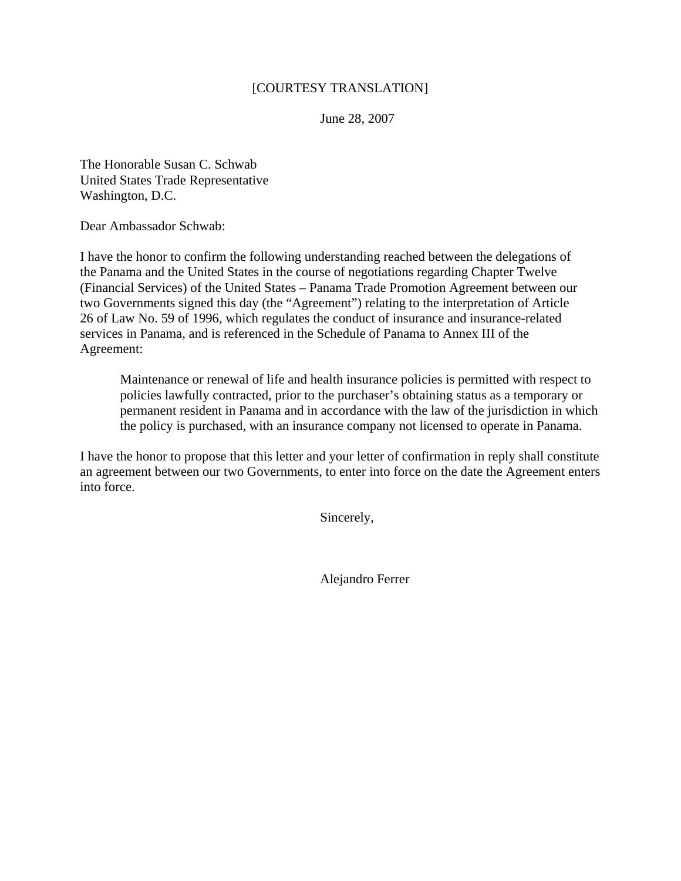## [COURTESY TRANSLATION]

June 28, 2007

The Honorable Susan C. Schwab United States Trade Representative Washington, D.C.

Dear Ambassador Schwab:

I have the honor to confirm the following understanding reached between the delegations of the Panama and the United States in the course of negotiations regarding Chapter Twelve (Financial Services) of the United States – Panama Trade Promotion Agreement between our two Governments signed this day (the "Agreement") relating to the interpretation of Article 26 of Law No. 59 of 1996, which regulates the conduct of insurance and insurance-related services in Panama, and is referenced in the Schedule of Panama to Annex III of the Agreement:

Maintenance or renewal of life and health insurance policies is permitted with respect to policies lawfully contracted, prior to the purchaser's obtaining status as a temporary or permanent resident in Panama and in accordance with the law of the jurisdiction in which the policy is purchased, with an insurance company not licensed to operate in Panama.

I have the honor to propose that this letter and your letter of confirmation in reply shall constitute an agreement between our two Governments, to enter into force on the date the Agreement enters into force.

Sincerely,

Alejandro Ferrer